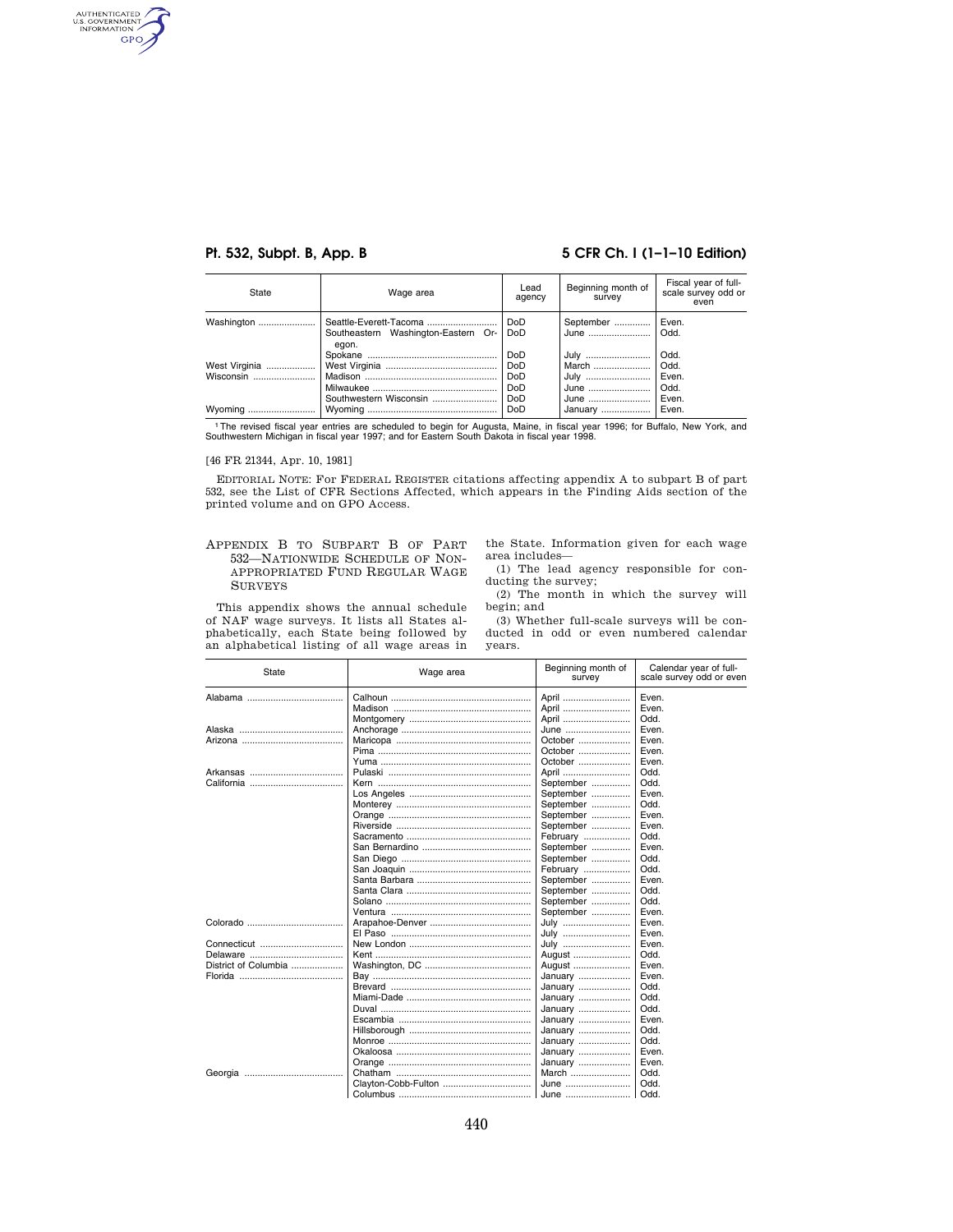AUTHENTICATED GPO

## **Pt. 532, Subpt. B, App. B 5 CFR Ch. I (1-1-10 Edition)**

| State                      | Wage area                                                              | Lead<br>agency                            | Beginning month of<br>survey | Fiscal year of full-<br>scale survey odd or<br>even |
|----------------------------|------------------------------------------------------------------------|-------------------------------------------|------------------------------|-----------------------------------------------------|
| Washington                 | Seattle-Everett-Tacoma<br>Southeastern Washington-Eastern Or-<br>eaon. | Do <sub>D</sub><br>Do <sub>D</sub>        | September<br>June            | Even.<br>Odd.                                       |
| West Virginia<br>Wisconsin |                                                                        | DoD<br>Do <sub>D</sub><br>Do <sub>D</sub> | July<br>March<br>July        | Odd.<br>Odd.<br>Even.                               |
| Wyoming                    | Southwestern Wisconsin                                                 | DoD<br>Do <sub>D</sub><br>DoD             | June<br>June<br>January      | Odd.<br>Even.<br>Even.                              |

1The revised fiscal year entries are scheduled to begin for Augusta, Maine, in fiscal year 1996; for Buffalo, New York, and Southwestern Michigan in fiscal year 1997; and for Eastern South Dakota in fiscal year 1998.

## [46 FR 21344, Apr. 10, 1981]

EDITORIAL NOTE: For FEDERAL REGISTER citations affecting appendix A to subpart B of part 532, see the List of CFR Sections Affected, which appears in the Finding Aids section of the printed volume and on GPO Access.

## APPENDIX B TO SUBPART B OF PART 532—NATIONWIDE SCHEDULE OF NON-APPROPRIATED FUND REGULAR WAGE SURVEYS

This appendix shows the annual schedule of NAF wage surveys. It lists all States alphabetically, each State being followed by an alphabetical listing of all wage areas in the State. Information given for each wage area includes—

(1) The lead agency responsible for conducting the survey;

(2) The month in which the survey will begin; and

(3) Whether full-scale surveys will be conducted in odd or even numbered calendar years.

| State                | Wage area | Beginning month of<br>survey | Calendar year of full-<br>scale survey odd or even |
|----------------------|-----------|------------------------------|----------------------------------------------------|
|                      |           | April                        | Even.                                              |
|                      |           | April                        | Even.                                              |
|                      |           | April                        | Odd.                                               |
|                      |           | June                         | Even.                                              |
|                      |           | October                      | Even.                                              |
|                      |           | October                      | Even.                                              |
|                      |           | October                      | Even.                                              |
|                      |           | April                        | Odd.                                               |
|                      |           | September                    | Odd.                                               |
|                      |           | September                    | Even.                                              |
|                      |           | September                    | Odd.                                               |
|                      |           | September                    | Even.                                              |
|                      |           | September                    | Even.                                              |
|                      |           | February                     | Odd.                                               |
|                      |           | September                    | Even.                                              |
|                      |           | September                    | Odd.                                               |
|                      |           | February                     | Odd.                                               |
|                      |           | September                    | Even.                                              |
|                      |           | September                    | Odd.                                               |
|                      |           | September                    | Odd.                                               |
|                      |           | September                    | Even.                                              |
|                      |           | July                         | Even.                                              |
|                      |           | July                         | Even.                                              |
| Connecticut          |           | July                         | Even.                                              |
|                      |           | August                       | Odd.                                               |
| District of Columbia |           | August                       | Even.                                              |
|                      |           | January                      | Even.                                              |
|                      |           | January                      | Odd.                                               |
|                      |           | January                      | Odd.                                               |
|                      |           | January                      | Odd.                                               |
|                      |           | January                      | Even.                                              |
|                      |           | January                      | Odd.                                               |
|                      |           | January                      | Odd.                                               |
|                      |           | January                      | Even.                                              |
|                      |           | January                      | Even.                                              |
|                      |           | March                        | Odd.                                               |
|                      |           | June                         | Odd.                                               |
|                      |           | June                         | Odd.                                               |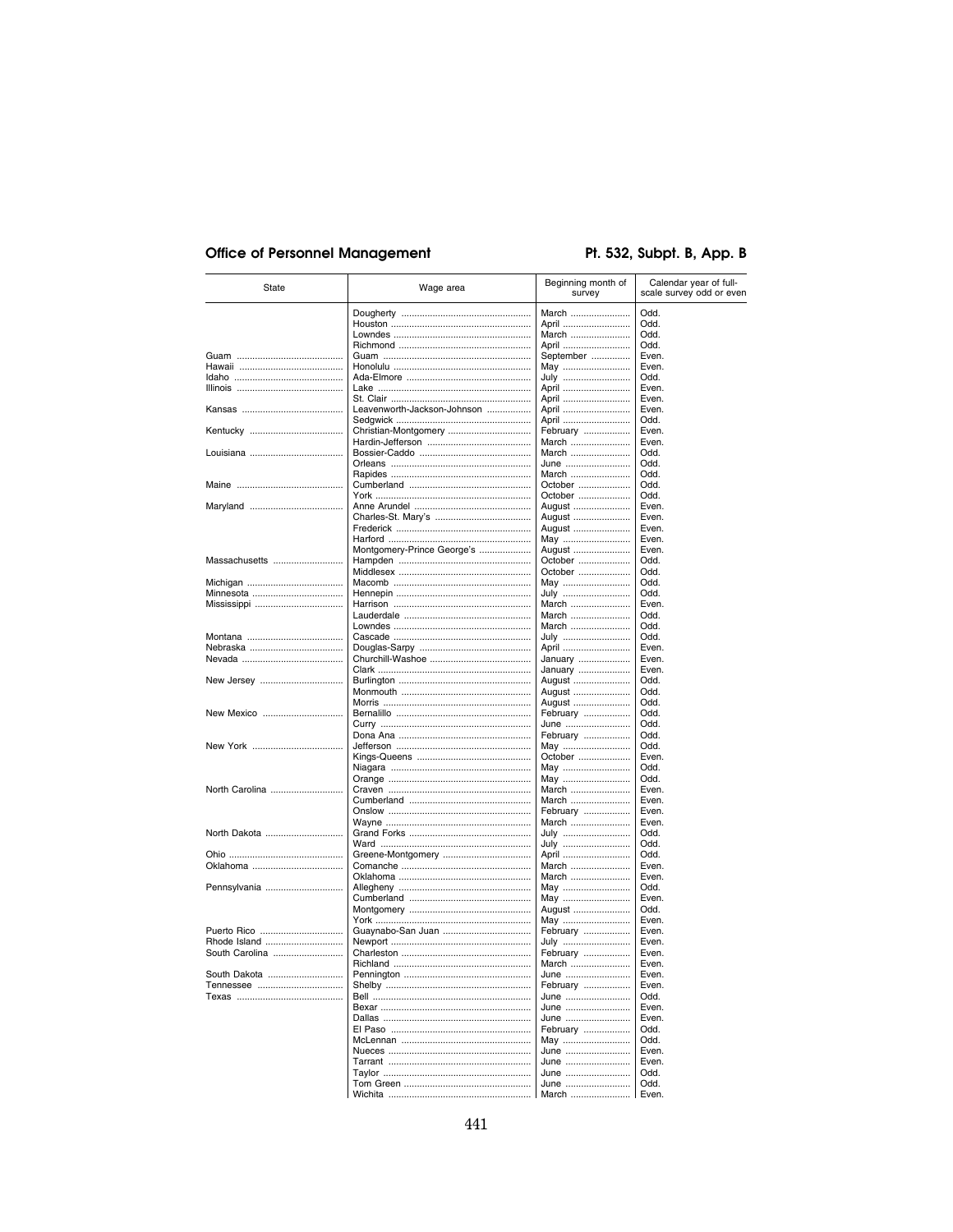# **Office of Personnel Management**

# Pt. 532, Subpt. B, App. B

| State          | Wage area                   | Beginning month of<br>survey | Calendar year of full-<br>scale survey odd or even |
|----------------|-----------------------------|------------------------------|----------------------------------------------------|
|                |                             | March                        | Odd.                                               |
|                |                             | April                        | Odd.                                               |
|                |                             | March                        | Odd.                                               |
|                |                             | April                        | Odd.                                               |
|                |                             | September                    | Even.                                              |
|                |                             | May                          | Even.                                              |
|                |                             | July                         | Odd.                                               |
|                |                             | April                        | Even.                                              |
|                | Leavenworth-Jackson-Johnson | April                        | Even.                                              |
|                |                             | April<br>April               | Even.<br>Odd.                                      |
|                |                             | February                     | Even.                                              |
|                |                             | March                        | Even.                                              |
|                |                             | March                        | Odd.                                               |
|                |                             | June                         | Odd.                                               |
|                |                             | March                        | Odd.                                               |
|                |                             | October                      | Odd.                                               |
|                |                             | October                      | Odd.                                               |
|                |                             | August                       | Even.                                              |
|                |                             | August                       | Even.                                              |
|                |                             | August                       | Even.                                              |
|                |                             | May                          | Even.                                              |
|                | Montgomery-Prince George's  | August                       | Even.                                              |
| Massachusetts  |                             | October                      | Odd.                                               |
|                |                             | October                      | Odd.                                               |
|                |                             | May                          | Odd.                                               |
|                |                             | July                         | Odd.                                               |
|                |                             | March                        | Even.                                              |
|                |                             | March                        | Odd.                                               |
|                |                             | March                        | Odd.                                               |
|                |                             | July                         | Odd.                                               |
|                |                             | April                        | Even.                                              |
|                |                             | January                      | Even.                                              |
|                |                             | January                      | Even.                                              |
| New Jersey     |                             | August<br>August             | Odd.<br>Odd.                                       |
|                |                             | August                       | Odd.                                               |
| New Mexico     |                             | February                     | Odd.                                               |
|                |                             | June                         | Odd.                                               |
|                |                             | February                     | Odd.                                               |
| New York       |                             | May                          | Odd.                                               |
|                |                             | October                      | Even.                                              |
|                |                             | May                          | Odd.                                               |
|                |                             | May                          | Odd.                                               |
| North Carolina |                             | March                        | Even.                                              |
|                |                             | March                        | Even.                                              |
|                |                             | February                     | Even.                                              |
|                |                             | March                        | Even.                                              |
| North Dakota   |                             | July                         | Odd.                                               |
|                |                             | July                         | Odd.                                               |
|                |                             | April                        | Odd.                                               |
| Oklahoma       |                             | March                        | Even.                                              |
|                |                             | March                        | Even.                                              |
| Pennsylvania   |                             | May                          | Odd.                                               |
|                |                             | May                          | Even.                                              |
|                |                             | August                       | Odd.                                               |
|                |                             | May                          | Even.                                              |
| Puerto Rico    | Guaynabo-San Juan           | February                     | Even.                                              |
|                |                             | July                         | Even.                                              |
| South Carolina |                             | February                     | Even.                                              |
|                |                             | March                        | Even.                                              |
|                |                             | June                         | Even.                                              |
|                |                             | February                     | Even.                                              |
|                |                             | June                         | Odd.                                               |
|                |                             | June                         | Even.                                              |
|                |                             | June                         | Even.<br>Odd.                                      |
|                |                             | February                     |                                                    |
|                |                             | May                          | Odd.<br>Even.                                      |
|                |                             | June<br>June                 | Even.                                              |
|                |                             | June                         | Odd.                                               |
|                |                             | June                         | Odd.                                               |
|                |                             | March                        | I Even.                                            |
|                |                             |                              |                                                    |